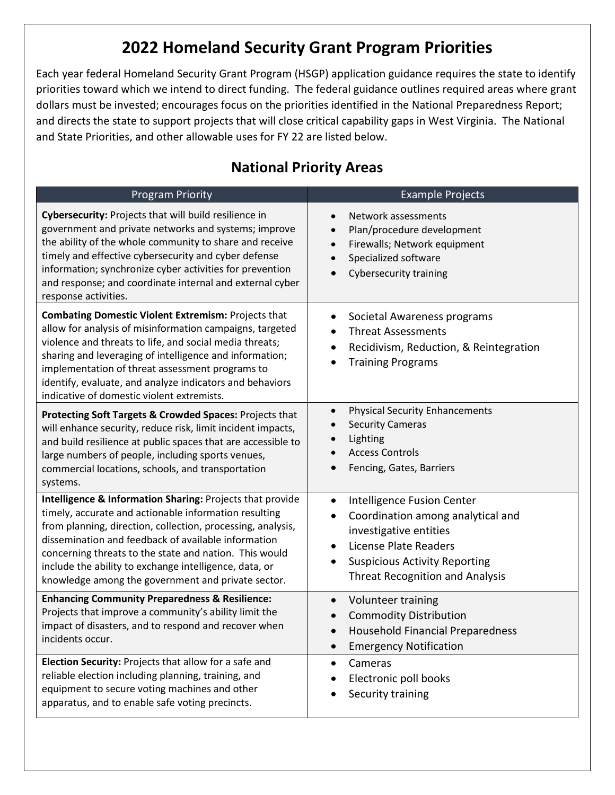# **2022 Homeland Security Grant Program Priorities**

Each year federal Homeland Security Grant Program (HSGP) application guidance requires the state to identify priorities toward which we intend to direct funding. The federal guidance outlines required areas where grant dollars must be invested; encourages focus on the priorities identified in the National Preparedness Report; and directs the state to support projects that will close critical capability gaps in West Virginia. The National and State Priorities, and other allowable uses for FY 22 are listed below.

#### Program Priority **Example Projects Cybersecurity:** Projects that will build resilience in government and private networks and systems; improve the ability of the whole community to share and receive timely and effective cybersecurity and cyber defense information; synchronize cyber activities for prevention and response; and coordinate internal and external cyber response activities. • Network assessments • Plan/procedure development • Firewalls; Network equipment • Specialized software • Cybersecurity training **Combating Domestic Violent Extremism:** Projects that allow for analysis of misinformation campaigns, targeted violence and threats to life, and social media threats; sharing and leveraging of intelligence and information; implementation of threat assessment programs to identify, evaluate, and analyze indicators and behaviors indicative of domestic violent extremists. • Societal Awareness programs • Threat Assessments • Recidivism, Reduction, & Reintegration • Training Programs **Protecting Soft Targets & Crowded Spaces:** Projects that will enhance security, reduce risk, limit incident impacts, and build resilience at public spaces that are accessible to large numbers of people, including sports venues, commercial locations, schools, and transportation systems. • Physical Security Enhancements Security Cameras • Lighting **Access Controls** • Fencing, Gates, Barriers **Intelligence & Information Sharing:** Projects that provide timely, accurate and actionable information resulting from planning, direction, collection, processing, analysis, dissemination and feedback of available information concerning threats to the state and nation. This would include the ability to exchange intelligence, data, or knowledge among the government and private sector. • Intelligence Fusion Center • Coordination among analytical and investigative entities • License Plate Readers • Suspicious Activity Reporting Threat Recognition and Analysis **Enhancing Community Preparedness & Resilience:**  Projects that improve a community's ability limit the impact of disasters, and to respond and recover when incidents occur. • Volunteer training • Commodity Distribution • Household Financial Preparedness • Emergency Notification **Election Security:** Projects that allow for a safe and reliable election including planning, training, and equipment to secure voting machines and other apparatus, and to enable safe voting precincts. • Cameras • Electronic poll books Security training

## **National Priority Areas**